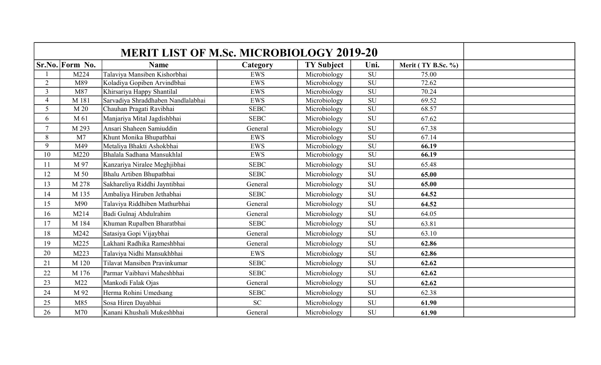|                | Sr.No. Form No. | <b>Name</b>                        | Category    | <b>TY Subject</b> | Uni.                     | Merit (TY B.Sc. %) |  |
|----------------|-----------------|------------------------------------|-------------|-------------------|--------------------------|--------------------|--|
|                | M224            | Talaviya Mansiben Kishorbhai       | <b>EWS</b>  | Microbiology      | ${\rm SU}$               | 75.00              |  |
| $\overline{2}$ | M89             | Koladiya Gopiben Arvindbhai        | <b>EWS</b>  | Microbiology      | $\overline{\mathrm{SU}}$ | 72.62              |  |
| 3              | M87             | Khirsariya Happy Shantilal         | <b>EWS</b>  | Microbiology      | SU                       | 70.24              |  |
| $\overline{4}$ | M 181           | Sarvadiya Shraddhaben Nandlalabhai | EWS         | Microbiology      | $\overline{\mathrm{SU}}$ | 69.52              |  |
| 5              | M 20            | Chauhan Pragati Ravibhai           | <b>SEBC</b> | Microbiology      | $\overline{\mathrm{SU}}$ | 68.57              |  |
| 6              | M 61            | Manjariya Mital Jagdishbhai        | <b>SEBC</b> | Microbiology      | SU                       | 67.62              |  |
| $\overline{7}$ | M 293           | Ansari Shaheen Samiuddin           | General     | Microbiology      | <b>SU</b>                | 67.38              |  |
| 8              | M <sub>7</sub>  | Khunt Monika Bhupatbhai            | <b>EWS</b>  | Microbiology      | SU                       | 67.14              |  |
| 9              | M49             | Metaliya Bhakti Ashokbhai          | <b>EWS</b>  | Microbiology      | $\overline{\mathrm{SU}}$ | 66.19              |  |
| 10             | M220            | Bhalala Sadhana Mansukhlal         | <b>EWS</b>  | Microbiology      | ${\rm SU}$               | 66.19              |  |
| 11             | M 97            | Kanzariya Niralee Meghjibhai       | <b>SEBC</b> | Microbiology      | SU                       | 65.48              |  |
| 12             | M 50            | Bhalu Artiben Bhupatbhai           | <b>SEBC</b> | Microbiology      | <b>SU</b>                | 65.00              |  |
| 13             | M 278           | Sakhareliya Riddhi Jayntibhai      | General     | Microbiology      | <b>SU</b>                | 65.00              |  |
| 14             | M 135           | Ambaliya Hiruben Jethabhai         | <b>SEBC</b> | Microbiology      | <b>SU</b>                | 64.52              |  |
| 15             | M90             | Talaviya Riddhiben Mathurbhai      | General     | Microbiology      | SU                       | 64.52              |  |
| 16             | M214            | Badi Gulnaj Abdulrahim             | General     | Microbiology      | ${\rm SU}$               | 64.05              |  |
| 17             | M 184           | Khuman Rupalben Bharatbhai         | <b>SEBC</b> | Microbiology      | SU                       | 63.81              |  |
| 18             | M242            | Satasiya Gopi Vijaybhai            | General     | Microbiology      | <b>SU</b>                | 63.10              |  |
| 19             | M225            | Lakhani Radhika Rameshbhai         | General     | Microbiology      | <b>SU</b>                | 62.86              |  |
| 20             | M223            | Talaviya Nidhi Mansukhbhai         | <b>EWS</b>  | Microbiology      | SU                       | 62.86              |  |
| 21             | M 120           | Tilavat Mansiben Pravinkumar       | <b>SEBC</b> | Microbiology      | <b>SU</b>                | 62.62              |  |
| 22             | M 176           | Parmar Vaibhavi Maheshbhai         | <b>SEBC</b> | Microbiology      | SU                       | 62.62              |  |
| 23             | M22             | Mankodi Falak Ojas                 | General     | Microbiology      | <b>SU</b>                | 62.62              |  |
| 24             | M 92            | Herma Rohini Umedsang              | <b>SEBC</b> | Microbiology      | <b>SU</b>                | 62.38              |  |
| 25             | M85             | Sosa Hiren Dayabhai                | SC          | Microbiology      | <b>SU</b>                | 61.90              |  |
| 26             | M70             | Kanani Khushali Mukeshbhai         | General     | Microbiology      | SU                       | 61.90              |  |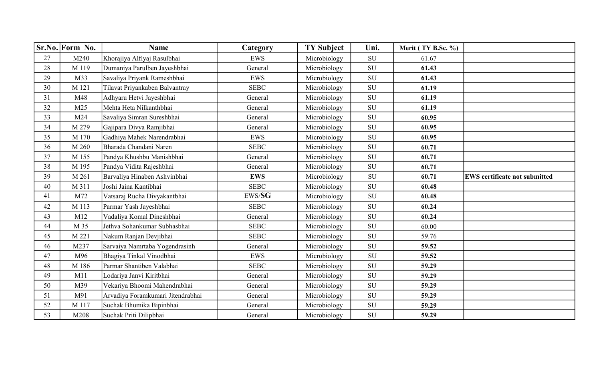|    | Sr.No. Form No. | <b>Name</b>                       | Category    | <b>TY Subject</b> | Uni.       | Merit (TY B.Sc. %) |                                      |
|----|-----------------|-----------------------------------|-------------|-------------------|------------|--------------------|--------------------------------------|
| 27 | M240            | Khorajiya Alfiyaj Rasulbhai       | <b>EWS</b>  | Microbiology      | SU         | 61.67              |                                      |
| 28 | M 119           | Dumaniya Parulben Jayeshbhai      | General     | Microbiology      | <b>SU</b>  | 61.43              |                                      |
| 29 | M33             | Savaliya Priyank Rameshbhai       | <b>EWS</b>  | Microbiology      | ${\bf SU}$ | 61.43              |                                      |
| 30 | M 121           | Tilavat Priyankaben Balvantray    | <b>SEBC</b> | Microbiology      | SU         | 61.19              |                                      |
| 31 | M48             | Adhyaru Hetvi Jayeshbhai          | General     | Microbiology      | <b>SU</b>  | 61.19              |                                      |
| 32 | M25             | Mehta Heta Nilkanthbhai           | General     | Microbiology      | ${\rm SU}$ | 61.19              |                                      |
| 33 | M24             | Savaliya Simran Sureshbhai        | General     | Microbiology      | SU         | 60.95              |                                      |
| 34 | M 279           | Gajipara Divya Ramjibhai          | General     | Microbiology      | <b>SU</b>  | 60.95              |                                      |
| 35 | M 170           | Gadhiya Mahek Narendrabhai        | <b>EWS</b>  | Microbiology      | SU         | 60.95              |                                      |
| 36 | M 260           | Bharada Chandani Naren            | <b>SEBC</b> | Microbiology      | SU         | 60.71              |                                      |
| 37 | M 155           | Pandya Khushbu Manishbhai         | General     | Microbiology      | SU         | 60.71              |                                      |
| 38 | M 195           | Pandya Vidita Rajeshbhai          | General     | Microbiology      | ${\rm SU}$ | 60.71              |                                      |
| 39 | M 261           | Barvaliya Hinaben Ashvinbhai      | <b>EWS</b>  | Microbiology      | ${\rm SU}$ | 60.71              | <b>EWS certificate not submitted</b> |
| 40 | M 311           | Joshi Jaina Kantibhai             | <b>SEBC</b> | Microbiology      | ${\rm SU}$ | 60.48              |                                      |
| 41 | M72             | Vatsaraj Rucha Divyakantbhai      | EWS/SG      | Microbiology      | ${\rm SU}$ | 60.48              |                                      |
| 42 | M 113           | Parmar Yash Jayeshbhai            | <b>SEBC</b> | Microbiology      | SU         | 60.24              |                                      |
| 43 | M12             | Vadaliya Komal Dineshbhai         | General     | Microbiology      | SU         | 60.24              |                                      |
| 44 | M 35            | Jethva Sohankumar Subhasbhai      | <b>SEBC</b> | Microbiology      | ${\rm SU}$ | 60.00              |                                      |
| 45 | M 221           | Nakum Ranjan Devjibhai            | <b>SEBC</b> | Microbiology      | SU         | 59.76              |                                      |
| 46 | M237            | Sarvaiya Namrtaba Yogendrasinh    | General     | Microbiology      | SU         | 59.52              |                                      |
| 47 | M96             | Bhagiya Tinkal Vinodbhai          | <b>EWS</b>  | Microbiology      | ${\rm SU}$ | 59.52              |                                      |
| 48 | M 186           | Parmar Shantiben Valabhai         | <b>SEBC</b> | Microbiology      | SU         | 59.29              |                                      |
| 49 | M11             | Lodariya Janvi Kiritbhai          | General     | Microbiology      | SU         | 59.29              |                                      |
| 50 | M39             | Vekariya Bhoomi Mahendrabhai      | General     | Microbiology      | ${\rm SU}$ | 59.29              |                                      |
| 51 | M91             | Arvadiya Foramkumari Jitendrabhai | General     | Microbiology      | ${\rm SU}$ | 59.29              |                                      |
| 52 | M 117           | Suchak Bhumika Bipinbhai          | General     | Microbiology      | <b>SU</b>  | 59.29              |                                      |
| 53 | M208            | Suchak Priti Dilipbhai            | General     | Microbiology      | SU         | 59.29              |                                      |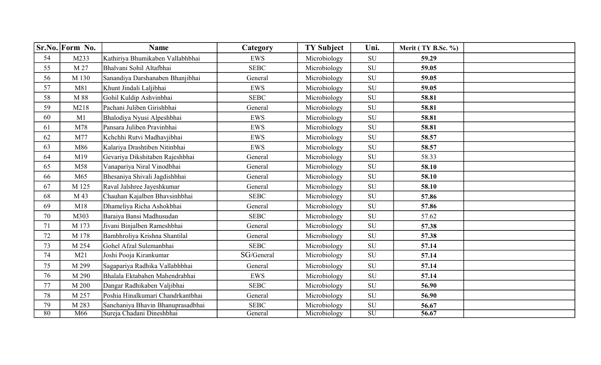|         | Sr.No. Form No. | <b>Name</b>                       | Category    | <b>TY Subject</b> | Uni.                     | Merit (TY B.Sc. %) |  |
|---------|-----------------|-----------------------------------|-------------|-------------------|--------------------------|--------------------|--|
| 54      | M233            | Kathiriya Bhumikaben Vallabhbhai  | <b>EWS</b>  | Microbiology      | SU                       | 59.29              |  |
| 55      | M 27            | Bhalvani Sohil Altafbhai          | <b>SEBC</b> | Microbiology      | SU                       | 59.05              |  |
| 56      | M 130           | Sanandiya Darshanaben Bhanjibhai  | General     | Microbiology      | SU                       | 59.05              |  |
| 57      | M81             | Khunt Jindali Laljibhai           | <b>EWS</b>  | Microbiology      | SU                       | 59.05              |  |
| 58      | M 88            | Gohil Kuldip Ashvinbhai           | <b>SEBC</b> | Microbiology      | SU                       | 58.81              |  |
| 59      | M218            | Pachani Juliben Girishbhai        | General     | Microbiology      | SU                       | 58.81              |  |
| 60      | M1              | Bhalodiya Nyusi Alpeshbhai        | <b>EWS</b>  | Microbiology      | SU                       | 58.81              |  |
| 61      | M78             | Pansara Juliben Pravinbhai        | <b>EWS</b>  | Microbiology      | ${\bf SU}$               | 58.81              |  |
| 62      | M77             | Kchchhi Rutvi Madhavjibhai        | <b>EWS</b>  | Microbiology      | ${\bf SU}$               | 58.57              |  |
| 63      | M86             | Kalariya Drashtiben Nitinbhai     | <b>EWS</b>  | Microbiology      | ${\bf SU}$               | 58.57              |  |
| 64      | M19             | Gevariya Dikshitaben Rajeshbhai   | General     | Microbiology      | SU                       | 58.33              |  |
| 65      | M58             | Vanapariya Niral Vinodbhai        | General     | Microbiology      | SU                       | 58.10              |  |
| 66      | M65             | Bhesaniya Shivali Jagdishbhai     | General     | Microbiology      | ${\rm SU}$               | 58.10              |  |
| 67      | M 125           | Raval Jalshree Jayeshkumar        | General     | Microbiology      | <b>SU</b>                | 58.10              |  |
| 68      | M 43            | Chauhan Kajalben Bhavsinhbhai     | <b>SEBC</b> | Microbiology      | <b>SU</b>                | 57.86              |  |
| 69      | M18             | Dhameliya Richa Ashokbhai         | General     | Microbiology      | SU                       | 57.86              |  |
| 70      | M303            | Baraiya Bansi Madhusudan          | <b>SEBC</b> | Microbiology      | SU                       | 57.62              |  |
| 71      | M 173           | Jivani Binjalben Rameshbhai       | General     | Microbiology      | SU                       | 57.38              |  |
| 72      | M 178           | Bambhroliya Krishna Shantilal     | General     | Microbiology      | <b>SU</b>                | 57.38              |  |
| 73      | M 254           | Gohel Afzal Sulemanbhai           | <b>SEBC</b> | Microbiology      | SU                       | 57.14              |  |
| 74      | M21             | Joshi Pooja Kirankumar            | SG/General  | Microbiology      | <b>SU</b>                | 57.14              |  |
| 75      | M 299           | Sagapariya Radhika Vallabhbhai    | General     | Microbiology      | <b>SU</b>                | 57.14              |  |
| 76      | M 290           | Bhalala Ektabahen Mahendrabhai    | <b>EWS</b>  | Microbiology      | ${\rm SU}$               | 57.14              |  |
| $77 \,$ | M 200           | Dangar Radhikaben Valjibhai       | <b>SEBC</b> | Microbiology      | <b>SU</b>                | 56.90              |  |
| 78      | M 257           | Poshia Hinalkumari Chandrkantbhai | General     | Microbiology      | <b>SU</b>                | 56.90              |  |
| 79      | M 283           | Sanchaniya Bhavin Bhanuprasadbhai | <b>SEBC</b> | Microbiology      | SU                       | 56.67              |  |
| 80      | M66             | Sureja Chadani Dineshbhai         | General     | Microbiology      | $\overline{\mathrm{SU}}$ | 56.67              |  |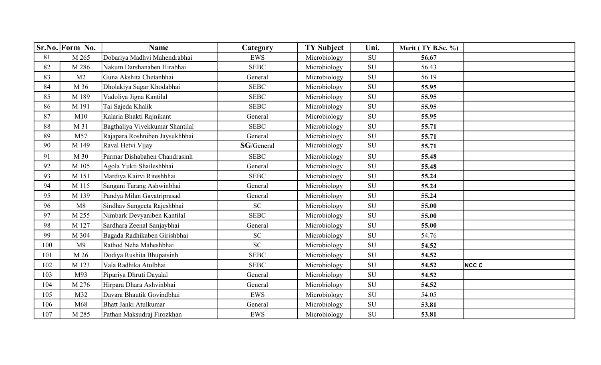|     | Sr.No. Form No. | <b>Name</b>                     | Category    | <b>TY Subject</b> | Uni.       | Merit (TY B.Sc. %) |           |
|-----|-----------------|---------------------------------|-------------|-------------------|------------|--------------------|-----------|
| 81  | M 265           | Dobariya Madhvi Mahendrabhai    | <b>EWS</b>  | Microbiology      | ${\rm SU}$ | 56.67              |           |
| 82  | M 286           | Nakum Darshanaben Hirabhai      | <b>SEBC</b> | Microbiology      | <b>SU</b>  | 56.43              |           |
| 83  | M <sub>2</sub>  | Guna Akshita Chetanbhai         | General     | Microbiology      | ${\bf SU}$ | 56.19              |           |
| 84  | M 36            | Dholakiya Sagar Khodabhai       | <b>SEBC</b> | Microbiology      | SU         | 55.95              |           |
| 85  | M 189           | Vadoliya Jigna Kantilal         | <b>SEBC</b> | Microbiology      | SU         | 55.95              |           |
| 86  | M 191           | Tai Sajeda Khalik               | <b>SEBC</b> | Microbiology      | ${\bf SU}$ | 55.95              |           |
| 87  | M10             | Kalaria Bhakti Rajnikant        | General     | Microbiology      | <b>SU</b>  | 55.95              |           |
| 88  | M 31            | Bagthaliya Vivekkumar Shantilal | <b>SEBC</b> | Microbiology      | SU         | 55.71              |           |
| 89  | M57             | Rajapara Roshniben Jaysukhbhai  | General     | Microbiology      | ${\rm SU}$ | 55.71              |           |
| 90  | M 149           | Raval Hetvi Vijay               | SG/General  | Microbiology      | SU         | 55.71              |           |
| 91  | M 30            | Parmar Dishabahen Chandrasinh   | <b>SEBC</b> | Microbiology      | <b>SU</b>  | 55.48              |           |
| 92  | M 105           | Agola Yukti Shaileshbhai        | General     | Microbiology      | SU         | 55.48              |           |
| 93  | M 151           | Mardiya Kairvi Riteshbhai       | <b>SEBC</b> | Microbiology      | SU         | 55.24              |           |
| 94  | M 115           | Sangani Tarang Ashwinbhai       | General     | Microbiology      | SU         | 55.24              |           |
| 95  | M 139           | Pandya Milan Gayatriprasad      | General     | Microbiology      | SU         | 55.24              |           |
| 96  | M8              | Sindhav Sangeeta Rajeshbhai     | <b>SC</b>   | Microbiology      | SU         | 55.00              |           |
| 97  | M 255           | Nimbark Devyaniben Kantilal     | <b>SEBC</b> | Microbiology      | SU         | 55.00              |           |
| 98  | M 127           | Sardhara Zeenal Sanjaybhai      | General     | Microbiology      | ${\rm SU}$ | 55.00              |           |
| 99  | M 304           | Bagada Radhikaben Girishbhai    | <b>SC</b>   | Microbiology      | SU         | 54.76              |           |
| 100 | M <sup>9</sup>  | Rathod Neha Maheshbhai          | <b>SC</b>   | Microbiology      | <b>SU</b>  | 54.52              |           |
| 101 | M 26            | Dodiya Rushita Bhupatsinh       | <b>SEBC</b> | Microbiology      | ${\rm SU}$ | 54.52              |           |
| 102 | M 123           | Vala Radhika Atulbhai           | <b>SEBC</b> | Microbiology      | SU         | 54.52              | $NCC$ $C$ |
| 103 | M93             | Pipariya Dhruti Dayalal         | General     | Microbiology      | SU         | 54.52              |           |
| 104 | M 276           | Hirpara Dhara Ashvinbhai        | General     | Microbiology      | <b>SU</b>  | 54.52              |           |
| 105 | M32             | Davara Bhautik Govindbhai       | <b>EWS</b>  | Microbiology      | SU         | 54.05              |           |
| 106 | M68             | <b>Bhatt Janki Atulkumar</b>    | General     | Microbiology      | SU         | 53.81              |           |
| 107 | M 285           | Pathan Maksudraj Firozkhan      | <b>EWS</b>  | Microbiology      | ${\bf SU}$ | 53.81              |           |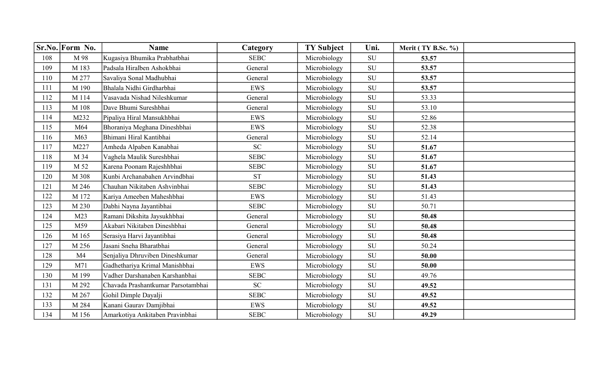|     | Sr.No. Form No. | <b>Name</b>                        | Category    | <b>TY Subject</b> | Uni.       | Merit (TY B.Sc. %) |  |
|-----|-----------------|------------------------------------|-------------|-------------------|------------|--------------------|--|
| 108 | M 98            | Kugasiya Bhumika Prabhatbhai       | <b>SEBC</b> | Microbiology      | <b>SU</b>  | 53.57              |  |
| 109 | M 183           | Padsala Hiralben Ashokbhai         | General     | Microbiology      | SU         | 53.57              |  |
| 110 | M 277           | Savaliya Sonal Madhubhai           | General     | Microbiology      | ${\rm SU}$ | 53.57              |  |
| 111 | M 190           | Bhalala Nidhi Girdharbhai          | <b>EWS</b>  | Microbiology      | ${\bf SU}$ | 53.57              |  |
| 112 | M 114           | Vasavada Nishad Nileshkumar        | General     | Microbiology      | SU         | 53.33              |  |
| 113 | M 108           | Dave Bhumi Sureshbhai              | General     | Microbiology      | SU         | 53.10              |  |
| 114 | M232            | Pipaliya Hiral Mansukhbhai         | <b>EWS</b>  | Microbiology      | SU         | 52.86              |  |
| 115 | M64             | Bhoraniya Meghana Dineshbhai       | EWS         | Microbiology      | SU         | 52.38              |  |
| 116 | M63             | Bhimani Hiral Kantibhai            | General     | Microbiology      | SU         | 52.14              |  |
| 117 | M227            | Amheda Alpaben Kanabhai            | <b>SC</b>   | Microbiology      | SU         | 51.67              |  |
| 118 | M 34            | Vaghela Maulik Sureshbhai          | <b>SEBC</b> | Microbiology      | <b>SU</b>  | 51.67              |  |
| 119 | M 52            | Karena Poonam Rajeshhbhai          | <b>SEBC</b> | Microbiology      | SU         | 51.67              |  |
| 120 | M 308           | Kunbi Archanabahen Arvindbhai      | <b>ST</b>   | Microbiology      | SU         | 51.43              |  |
| 121 | M 246           | Chauhan Nikitaben Ashvinbhai       | <b>SEBC</b> | Microbiology      | SU         | 51.43              |  |
| 122 | M 172           | Kariya Ameeben Maheshbhai          | <b>EWS</b>  | Microbiology      | ${\bf SU}$ | 51.43              |  |
| 123 | M 230           | Dabhi Nayna Jayantibhai            | <b>SEBC</b> | Microbiology      | SU         | 50.71              |  |
| 124 | M23             | Ramani Dikshita Jaysukhbhai        | General     | Microbiology      | <b>SU</b>  | 50.48              |  |
| 125 | M59             | Akabari Nikitaben Dineshbhai       | General     | Microbiology      | ${\rm SU}$ | 50.48              |  |
| 126 | M 165           | Serasiya Harvi Jayantibhai         | General     | Microbiology      | SU         | 50.48              |  |
| 127 | M 256           | Jasani Sneha Bharatbhai            | General     | Microbiology      | <b>SU</b>  | 50.24              |  |
| 128 | M <sub>4</sub>  | Senjaliya Dhruviben Dineshkumar    | General     | Microbiology      | SU         | 50.00              |  |
| 129 | M71             | Gadhethariya Krimal Manishbhai     | EWS         | Microbiology      | ${\bf SU}$ | 50.00              |  |
| 130 | M 199           | Vadher Darshanaben Karshanbhai     | <b>SEBC</b> | Microbiology      | <b>SU</b>  | 49.76              |  |
| 131 | M 292           | Chavada Prashantkumar Parsotambhai | <b>SC</b>   | Microbiology      | SU         | 49.52              |  |
| 132 | M 267           | Gohil Dimple Dayalji               | <b>SEBC</b> | Microbiology      | ${\rm SU}$ | 49.52              |  |
| 133 | M 284           | Kanani Gaurav Damjibhai            | <b>EWS</b>  | Microbiology      | ${\rm SU}$ | 49.52              |  |
| 134 | M 156           | Amarkotiya Ankitaben Pravinbhai    | <b>SEBC</b> | Microbiology      | ${\rm SU}$ | 49.29              |  |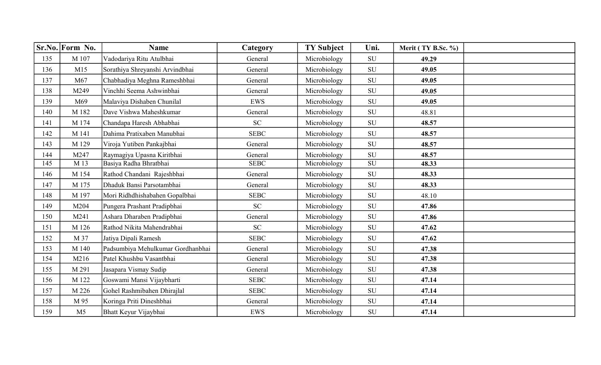|     | Sr.No. Form No. | <b>Name</b>                       | Category                   | <b>TY Subject</b> | Uni.       | Merit (TY B.Sc. %) |  |
|-----|-----------------|-----------------------------------|----------------------------|-------------------|------------|--------------------|--|
| 135 | M 107           | Vadodariya Ritu Atulbhai          | General                    | Microbiology      | SU         | 49.29              |  |
| 136 | M15             | Sorathiya Shreyanshi Arvindbhai   | General                    | Microbiology      | ${\rm SU}$ | 49.05              |  |
| 137 | M67             | Chabhadiya Meghna Rameshbhai      | General                    | Microbiology      | ${\rm SU}$ | 49.05              |  |
| 138 | M249            | Vinchhi Seema Ashwinbhai          | General                    | Microbiology      | <b>SU</b>  | 49.05              |  |
| 139 | M69             | Malaviya Dishaben Chunilal        | <b>EWS</b>                 | Microbiology      | ${\bf SU}$ | 49.05              |  |
| 140 | M 182           | Dave Vishwa Maheshkumar           | General                    | Microbiology      | SU         | 48.81              |  |
| 141 | M 174           | Chandapa Haresh Abhabhai          | <b>SC</b>                  | Microbiology      | SU         | 48.57              |  |
| 142 | M 141           | Dahima Pratixaben Manubhai        | <b>SEBC</b>                | Microbiology      | <b>SU</b>  | 48.57              |  |
| 143 | M 129           | Viroja Yutiben Pankajbhai         | General                    | Microbiology      | <b>SU</b>  | 48.57              |  |
| 144 | M247            | Raymagiya Upasna Kiritbhai        | General                    | Microbiology      | <b>SU</b>  | 48.57              |  |
| 145 | M 13            | Basiya Radha Bhratbhai            | <b>SEBC</b>                | Microbiology      | SU         | 48.33              |  |
| 146 | M 154           | Rathod Chandani Rajeshbhai        | General                    | Microbiology      | ${\rm SU}$ | 48.33              |  |
| 147 | M 175           | Dhaduk Bansi Parsotambhai         | General                    | Microbiology      | SU         | 48.33              |  |
| 148 | M 197           | Mori Ridhdhishabahen Gopalbhai    | <b>SEBC</b>                | Microbiology      | <b>SU</b>  | 48.10              |  |
| 149 | M204            | Pungera Prashant Pradipbhai       | <b>SC</b>                  | Microbiology      | <b>SU</b>  | 47.86              |  |
| 150 | M241            | Ashara Dharaben Pradipbhai        | General                    | Microbiology      | <b>SU</b>  | 47.86              |  |
| 151 | M 126           | Rathod Nikita Mahendrabhai        | $\ensuremath{\mathbf{SC}}$ | Microbiology      | SU         | 47.62              |  |
| 152 | M 37            | Jatiya Dipali Ramesh              | <b>SEBC</b>                | Microbiology      | ${\rm SU}$ | 47.62              |  |
| 153 | M 140           | Padsumbiya Mehulkumar Gordhanbhai | General                    | Microbiology      | SU         | 47.38              |  |
| 154 | M216            | Patel Khushbu Vasantbhai          | General                    | Microbiology      | SU         | 47.38              |  |
| 155 | M 291           | Jasapara Vismay Sudip             | General                    | Microbiology      | <b>SU</b>  | 47.38              |  |
| 156 | M 122           | Goswami Mansi Vijaybharti         | <b>SEBC</b>                | Microbiology      | SU         | 47.14              |  |
| 157 | M 226           | Gohel Rashmibahen Dhirajlal       | <b>SEBC</b>                | Microbiology      | ${\bf SU}$ | 47.14              |  |
| 158 | M 95            | Koringa Priti Dineshbhai          | General                    | Microbiology      | ${\rm SU}$ | 47.14              |  |
| 159 | M <sub>5</sub>  | Bhatt Keyur Vijaybhai             | EWS                        | Microbiology      | SU         | 47.14              |  |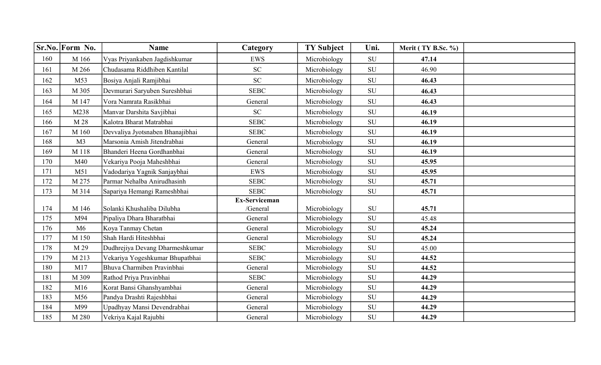|     | Sr.No. Form No. | <b>Name</b>                      | Category             | <b>TY Subject</b> | Uni.       | Merit (TY B.Sc. %) |  |
|-----|-----------------|----------------------------------|----------------------|-------------------|------------|--------------------|--|
| 160 | M 166           | Vyas Priyankaben Jagdishkumar    | <b>EWS</b>           | Microbiology      | SU         | 47.14              |  |
| 161 | M 266           | Chudasama Riddhiben Kantilal     | SC                   | Microbiology      | SU         | 46.90              |  |
| 162 | M53             | Bosiya Anjali Ramjibhai          | <b>SC</b>            | Microbiology      | SU         | 46.43              |  |
| 163 | M 305           | Devmurari Saryuben Sureshbhai    | <b>SEBC</b>          | Microbiology      | SU         | 46.43              |  |
| 164 | M 147           | Vora Namrata Rasikbhai           | General              | Microbiology      | SU         | 46.43              |  |
| 165 | M238            | Manvar Darshita Savjibhai        | SC                   | Microbiology      | SU         | 46.19              |  |
| 166 | M 28            | Kalotra Bharat Matrabhai         | <b>SEBC</b>          | Microbiology      | <b>SU</b>  | 46.19              |  |
| 167 | M 160           | Devvaliya Jyotsnaben Bhanajibhai | <b>SEBC</b>          | Microbiology      | SU         | 46.19              |  |
| 168 | M <sub>3</sub>  | Marsonia Amish Jitendrabhai      | General              | Microbiology      | <b>SU</b>  | 46.19              |  |
| 169 | M 118           | Bhanderi Heena Gordhanbhai       | General              | Microbiology      | SU         | 46.19              |  |
| 170 | M40             | Vekariya Pooja Maheshbhai        | General              | Microbiology      | SU         | 45.95              |  |
| 171 | M51             | Vadodariya Yagnik Sanjaybhai     | <b>EWS</b>           | Microbiology      | ${\bf SU}$ | 45.95              |  |
| 172 | M 275           | Parmar Nehalba Anirudhasinh      | <b>SEBC</b>          | Microbiology      | SU         | 45.71              |  |
| 173 | M 314           | Sapariya Hemangi Rameshbhai      | <b>SEBC</b>          | Microbiology      | SU         | 45.71              |  |
|     |                 |                                  | <b>Ex-Serviceman</b> |                   |            |                    |  |
| 174 | M 146           | Solanki Khushaliba Dilubha       | /General             | Microbiology      | ${\rm SU}$ | 45.71              |  |
| 175 | M94             | Pipaliya Dhara Bharatbhai        | General              | Microbiology      | SU         | 45.48              |  |
| 176 | M6              | Koya Tanmay Chetan               | General              | Microbiology      | SU         | 45.24              |  |
| 177 | M 150           | Shah Hardi Hiteshbhai            | General              | Microbiology      | SU         | 45.24              |  |
| 178 | M 29            | Dudhrejiya Devang Dharmeshkumar  | <b>SEBC</b>          | Microbiology      | SU         | 45.00              |  |
| 179 | M 213           | Vekariya Yogeshkumar Bhupatbhai  | <b>SEBC</b>          | Microbiology      | <b>SU</b>  | 44.52              |  |
| 180 | M17             | Bhuva Charmiben Pravinbhai       | General              | Microbiology      | ${\rm SU}$ | 44.52              |  |
| 181 | M 309           | Rathod Priya Pravinbhai          | <b>SEBC</b>          | Microbiology      | <b>SU</b>  | 44.29              |  |
| 182 | M16             | Korat Bansi Ghanshyambhai        | General              | Microbiology      | ${\rm SU}$ | 44.29              |  |
| 183 | M56             | Pandya Drashti Rajeshbhai        | General              | Microbiology      | SU         | 44.29              |  |
| 184 | M99             | Upadhyay Mansi Devendrabhai      | General              | Microbiology      | SU         | 44.29              |  |
| 185 | M 280           | Vekriya Kajal Rajubhi            | General              | Microbiology      | SU         | 44.29              |  |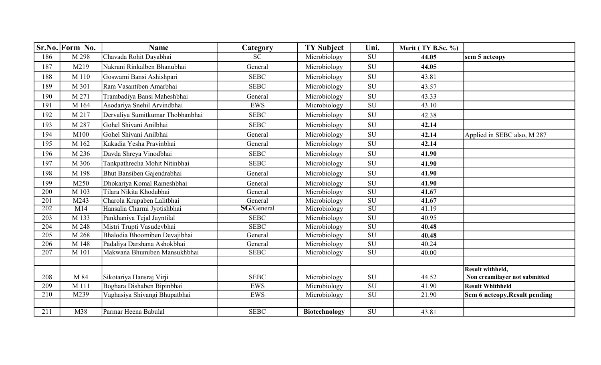|     | Sr.No. Form No.  | <b>Name</b>                      | Category      | <b>TY Subject</b>    | Uni.                     | Merit (TY B.Sc. %) |                               |
|-----|------------------|----------------------------------|---------------|----------------------|--------------------------|--------------------|-------------------------------|
| 186 | M 298            | Chavada Rohit Dayabhai           | <b>SC</b>     | Microbiology         | SU                       | 44.05              | sem 5 netcopy                 |
| 187 | M219             | Nakrani Rinkalben Bhanubhai      | General       | Microbiology         | <b>SU</b>                | 44.05              |                               |
| 188 | M 110            | Goswami Bansi Ashishpari         | <b>SEBC</b>   | Microbiology         | ${\bf SU}$               | 43.81              |                               |
| 189 | M 301            | Ram Vasantiben Amarbhai          | <b>SEBC</b>   | Microbiology         | SU                       | 43.57              |                               |
| 190 | M 271            | Trambadiya Bansi Maheshbhai      | General       | Microbiology         | SU                       | 43.33              |                               |
| 191 | M 164            | Asodariya Snehil Arvindbhai      | <b>EWS</b>    | Microbiology         | SU                       | 43.10              |                               |
| 192 | M 217            | Dervaliya Sumitkumar Thobhanbhai | <b>SEBC</b>   | Microbiology         | SU                       | 42.38              |                               |
| 193 | M 287            | Gohel Shivani Anilbhai           | <b>SEBC</b>   | Microbiology         | ${\rm SU}$               | 42.14              |                               |
| 194 | M100             | Gohel Shivani Anilbhai           | General       | Microbiology         | SU                       | 42.14              | Applied in SEBC also, M 287   |
| 195 | M 162            | Kakadia Yesha Pravinbhai         | General       | Microbiology         | SU                       | 42.14              |                               |
| 196 | M 236            | Davda Shreya Vinodbhai           | <b>SEBC</b>   | Microbiology         | SU                       | 41.90              |                               |
| 197 | M 306            | Tankpathrecha Mohit Nitinbhai    | <b>SEBC</b>   | Microbiology         | <b>SU</b>                | 41.90              |                               |
| 198 | M 198            | Bhut Bansiben Gajendrabhai       | General       | Microbiology         | SU                       | 41.90              |                               |
| 199 | M250             | Dhokariya Komal Rameshbhai       | General       | Microbiology         | SU                       | 41.90              |                               |
| 200 | M 103            | Tilara Nikita Khodabhai          | General       | Microbiology         | $\overline{\mathrm{SU}}$ | 41.67              |                               |
| 201 | M243             | Charola Krupaben Lalitbhai       | General       | Microbiology         | $\overline{\mathrm{SU}}$ | 41.67              |                               |
| 202 | $\overline{M14}$ | Hansalia Charmi Jyotishbhai      | $SG/G$ eneral | Microbiology         | SU                       | 41.19              |                               |
| 203 | M 133            | Pankhaniya Tejal Jayntilal       | <b>SEBC</b>   | Microbiology         | $\overline{\mathrm{SU}}$ | 40.95              |                               |
| 204 | M 248            | Mistri Trupti Vasudevbhai        | <b>SEBC</b>   | Microbiology         | $\overline{\mathrm{SU}}$ | 40.48              |                               |
| 205 | M 268            | Bhalodia Bhoomiben Devajibhai    | General       | Microbiology         | $\overline{\mathrm{SU}}$ | 40.48              |                               |
| 206 | M 148            | Padaliya Darshana Ashokbhai      | General       | Microbiology         | SU                       | 40.24              |                               |
| 207 | M 101            | Makwana Bhumiben Mansukhbhai     | <b>SEBC</b>   | Microbiology         | SU                       | 40.00              |                               |
|     |                  |                                  |               |                      |                          |                    |                               |
|     |                  |                                  |               |                      |                          |                    | Result withheld,              |
| 208 | M 84             | Sikotariya Hansraj Virji         | <b>SEBC</b>   | Microbiology         | SU                       | 44.52              | Non creamilayer not submitted |
| 209 | M 111            | Boghara Dishaben Bipinbhai       | <b>EWS</b>    | Microbiology         | ${\bf SU}$               | 41.90              | <b>Result Whithheld</b>       |
| 210 | M239             | Vaghasiya Shivangi Bhupatbhai    | <b>EWS</b>    | Microbiology         | SU                       | 21.90              | Sem 6 netcopy, Result pending |
|     |                  |                                  |               |                      |                          |                    |                               |
| 211 | M38              | Parmar Heena Babulal             | <b>SEBC</b>   | <b>Biotechnology</b> | SU                       | 43.81              |                               |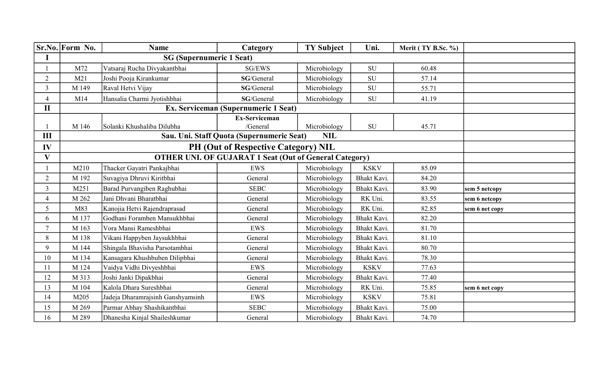|                | Sr.No. Form No. | <b>Name</b>                                | Category                                                                      | <b>TY Subject</b>          | Uni.        | Merit (TY B.Sc. %) |                |
|----------------|-----------------|--------------------------------------------|-------------------------------------------------------------------------------|----------------------------|-------------|--------------------|----------------|
| I              |                 | <b>SG</b> (Supernumeric 1 Seat)            |                                                                               |                            |             |                    |                |
|                | M72             | Vatsaraj Rucha Divyakantbhai               | SG/EWS                                                                        | Microbiology               | SU          | 60.48              |                |
| $\overline{2}$ | M21             | Joshi Pooja Kirankumar                     | SG/General                                                                    | Microbiology               | ${\rm SU}$  | 57.14              |                |
| $\overline{3}$ | M 149           | Raval Hetvi Vijay                          | SG/General                                                                    | Microbiology               | ${\rm SU}$  | 55.71              |                |
| $\overline{4}$ | M14             | Hansalia Charmi Jyotishbhai                | SG/General                                                                    | Microbiology               | <b>SU</b>   | 41.19              |                |
| $\mathbf{I}$   |                 | Ex. Serviceman (Supernumeric 1 Seat)       |                                                                               |                            |             |                    |                |
| III            | M 146           | Solanki Khushaliba Dilubha                 | <b>Ex-Serviceman</b><br>/General<br>Sau. Uni. Staff Quota (Supernumeric Seat) | Microbiology<br><b>NIL</b> | SU          | 45.71              |                |
| IV             |                 | <b>PH (Out of Respective Category) NIL</b> |                                                                               |                            |             |                    |                |
| $\mathbf{V}$   |                 |                                            | <b>OTHER UNI. OF GUJARAT 1 Seat (Out of General Category)</b>                 |                            |             |                    |                |
|                | M210            | Thacker Gayatri Pankajbhai                 | EWS                                                                           | Microbiology               | <b>KSKV</b> | 85.09              |                |
| $\overline{2}$ | M 192           | Suvagiya Dhruvi Kiritbhai                  | General                                                                       | Microbiology               | Bhakt Kavi. | 84.20              |                |
| $\overline{3}$ | M251            | Barad Purvangiben Raghubhai                | <b>SEBC</b>                                                                   | Microbiology               | Bhakt Kavi. | 83.90              | sem 5 netcopy  |
| $\overline{4}$ | M 262           | Jani Dhvani Bharatbhai                     | General                                                                       | Microbiology               | RK Uni.     | 83.55              | sem 6 netcopy  |
| 5              | M83             | Kanojia Hetvi Rajendraprasad               | General                                                                       | Microbiology               | RK Uni.     | 82.85              | sem 6 net copy |
| 6              | M 137           | Godhani Foramben Mansukhbhai               | General                                                                       | Microbiology               | Bhakt Kavi. | 82.20              |                |
| $\overline{7}$ | M 163           | Vora Mansi Rameshbhai                      | <b>EWS</b>                                                                    | Microbiology               | Bhakt Kavi. | 81.70              |                |
| 8              | M 138           | Vikani Happyben Jaysukhbhai                | General                                                                       | Microbiology               | Bhakt Kavi. | 81.10              |                |
| 9              | M 144           | Shingala Bhavisha Parsotambhai             | General                                                                       | Microbiology               | Bhakt Kavi. | 80.70              |                |
| 10             | M 134           | Kansagara Khushbuben Dilipbhai             | General                                                                       | Microbiology               | Bhakt Kavi. | 78.30              |                |
| 11             | M 124           | Vaidya Vidhi Divyeshbhai                   | <b>EWS</b>                                                                    | Microbiology               | <b>KSKV</b> | 77.63              |                |
| 12             | M 313           | Joshi Janki Dipakbhai                      | General                                                                       | Microbiology               | Bhakt Kavi. | 77.40              |                |
| 13             | M 104           | Kalola Dhara Sureshbhai                    | General                                                                       | Microbiology               | RK Uni.     | 75.85              | sem 6 net copy |
| 14             | M205            | Jadeja Dharamrajsinh Ganshyamsinh          | <b>EWS</b>                                                                    | Microbiology               | <b>KSKV</b> | 75.81              |                |
| 15             | M 269           | Parmar Abhay Shashikantbhai                | <b>SEBC</b>                                                                   | Microbiology               | Bhakt Kavi. | 75.00              |                |
| 16             | M 289           | Dhanesha Kinjal Shaileshkumar              | General                                                                       | Microbiology               | Bhakt Kavi. | 74.70              |                |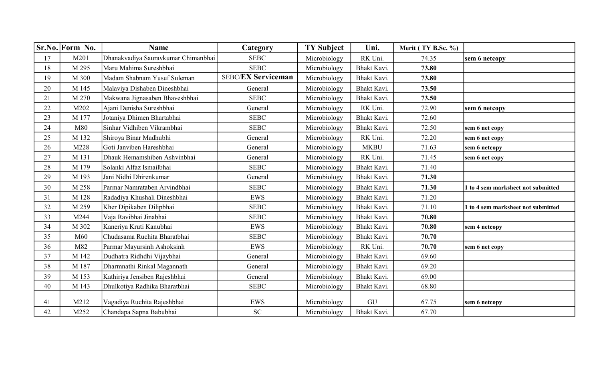|    | Sr.No. Form No. | <b>Name</b>                         | Category                  | <b>TY Subject</b> | Uni.        | Merit (TY B.Sc. %) |                                    |
|----|-----------------|-------------------------------------|---------------------------|-------------------|-------------|--------------------|------------------------------------|
| 17 | M201            | Dhanakvadiya Sauravkumar Chimanbhai | <b>SEBC</b>               | Microbiology      | RK Uni.     | 74.35              | sem 6 netcopy                      |
| 18 | M 295           | Maru Mahima Sureshbhai              | <b>SEBC</b>               | Microbiology      | Bhakt Kavi. | 73.80              |                                    |
| 19 | M 300           | Madam Shabnam Yusuf Suleman         | <b>SEBC/EX Serviceman</b> | Microbiology      | Bhakt Kavi. | 73.80              |                                    |
| 20 | M 145           | Malaviya Dishaben Dineshbhai        | General                   | Microbiology      | Bhakt Kavi. | 73.50              |                                    |
| 21 | M 270           | Makwana Jignasaben Bhaveshbhai      | <b>SEBC</b>               | Microbiology      | Bhakt Kavi. | 73.50              |                                    |
| 22 | M202            | Ajani Denisha Sureshbhai            | General                   | Microbiology      | RK Uni.     | 72.90              | sem 6 netcopy                      |
| 23 | M 177           | Jotaniya Dhimen Bhartabhai          | <b>SEBC</b>               | Microbiology      | Bhakt Kavi. | 72.60              |                                    |
| 24 | M80             | Sinhar Vidhiben Vikrambhai          | <b>SEBC</b>               | Microbiology      | Bhakt Kavi. | 72.50              | sem 6 net copy                     |
| 25 | M 132           | Shiroya Binar Madhubhi              | General                   | Microbiology      | RK Uni.     | 72.20              | sem 6 net copy                     |
| 26 | M228            | Goti Janviben Hareshbhai            | General                   | Microbiology      | <b>MKBU</b> | 71.63              | sem 6 netcopy                      |
| 27 | M 131           | Dhauk Hemamshiben Ashvinbhai        | General                   | Microbiology      | RK Uni.     | 71.45              | sem 6 net copy                     |
| 28 | M 179           | Solanki Alfaz Ismailbhai            | <b>SEBC</b>               | Microbiology      | Bhakt Kavi. | 71.40              |                                    |
| 29 | M 193           | Jani Nidhi Dhirenkumar              | General                   | Microbiology      | Bhakt Kavi. | 71.30              |                                    |
| 30 | M 258           | Parmar Namrataben Arvindbhai        | <b>SEBC</b>               | Microbiology      | Bhakt Kavi. | 71.30              | 1 to 4 sem marksheet not submitted |
| 31 | M 128           | Radadiya Khushali Dineshbhai        | <b>EWS</b>                | Microbiology      | Bhakt Kavi. | 71.20              |                                    |
| 32 | M 259           | Kher Dipikaben Dilipbhai            | <b>SEBC</b>               | Microbiology      | Bhakt Kavi. | 71.10              | 1 to 4 sem marksheet not submitted |
| 33 | M244            | Vaja Ravibhai Jinabhai              | <b>SEBC</b>               | Microbiology      | Bhakt Kavi. | 70.80              |                                    |
| 34 | M 302           | Kaneriya Kruti Kanubhai             | EWS                       | Microbiology      | Bhakt Kavi. | 70.80              | sem 4 netcopy                      |
| 35 | M60             | Chudasama Ruchita Bharatbhai        | <b>SEBC</b>               | Microbiology      | Bhakt Kavi. | 70.70              |                                    |
| 36 | M82             | Parmar Mayursinh Ashoksinh          | <b>EWS</b>                | Microbiology      | RK Uni.     | 70.70              | sem 6 net copy                     |
| 37 | M 142           | Dudhatra Ridhdhi Vijaybhai          | General                   | Microbiology      | Bhakt Kavi. | 69.60              |                                    |
| 38 | M 187           | Dharmnathi Rinkal Magannath         | General                   | Microbiology      | Bhakt Kavi. | 69.20              |                                    |
| 39 | M 153           | Kathiriya Jensiben Rajeshbhai       | General                   | Microbiology      | Bhakt Kavi. | 69.00              |                                    |
| 40 | M 143           | Dhulkotiya Radhika Bharatbhai       | <b>SEBC</b>               | Microbiology      | Bhakt Kavi. | 68.80              |                                    |
|    |                 |                                     |                           |                   |             |                    |                                    |
| 41 | M212            | Vagadiya Ruchita Rajeshbhai         | <b>EWS</b>                | Microbiology      | GU          | 67.75              | sem 6 netcopy                      |
| 42 | M252            | Chandapa Sapna Babubhai             | <b>SC</b>                 | Microbiology      | Bhakt Kavi. | 67.70              |                                    |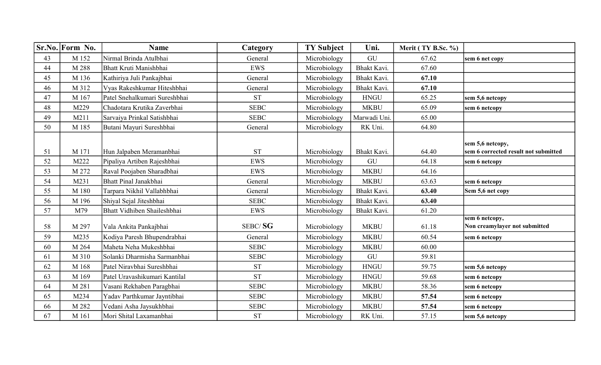|    | Sr.No. Form No. | <b>Name</b>                   | Category    | <b>TY Subject</b> | Uni.         | Merit (TY B.Sc. %) |                                                          |
|----|-----------------|-------------------------------|-------------|-------------------|--------------|--------------------|----------------------------------------------------------|
| 43 | M 152           | Nirmal Brinda Atulbhai        | General     | Microbiology      | GU           | 67.62              | sem 6 net copy                                           |
| 44 | M 288           | Bhatt Kruti Manishbhai        | <b>EWS</b>  | Microbiology      | Bhakt Kavi.  | 67.60              |                                                          |
| 45 | M 136           | Kathiriya Juli Pankajbhai     | General     | Microbiology      | Bhakt Kavi.  | 67.10              |                                                          |
| 46 | M 312           | Vyas Rakeshkumar Hiteshbhai   | General     | Microbiology      | Bhakt Kavi.  | 67.10              |                                                          |
| 47 | M 167           | Patel Snehalkumari Sureshbhai | <b>ST</b>   | Microbiology      | <b>HNGU</b>  | 65.25              | sem 5,6 netcopy                                          |
| 48 | M229            | Chadotara Krutika Zaverbhai   | <b>SEBC</b> | Microbiology      | <b>MKBU</b>  | 65.09              | sem 6 netcopy                                            |
| 49 | M211            | Sarvaiya Prinkal Satishbhai   | <b>SEBC</b> | Microbiology      | Marwadi Uni. | 65.00              |                                                          |
| 50 | M 185           | Butani Mayuri Sureshbhai      | General     | Microbiology      | RK Uni.      | 64.80              |                                                          |
| 51 | M 171           | Hun Jalpaben Meramanbhai      | <b>ST</b>   | Microbiology      | Bhakt Kavi.  | 64.40              | sem 5,6 netcopy,<br>sem 6 corrected result not submitted |
| 52 | M222            | Pipaliya Artiben Rajeshbhai   | <b>EWS</b>  | Microbiology      | GU           | 64.18              | sem 6 netcopy                                            |
| 53 | M 272           | Raval Poojaben Sharadbhai     | <b>EWS</b>  | Microbiology      | <b>MKBU</b>  | 64.16              |                                                          |
| 54 | M231            | Bhatt Pinal Janakbhai         | General     | Microbiology      | <b>MKBU</b>  | 63.63              | sem 6 netcopy                                            |
| 55 | M 180           | Tarpara Nikhil Vallabhbhai    | General     | Microbiology      | Bhakt Kavi.  | 63.40              | Sem 5,6 net copy                                         |
| 56 | M 196           | Shiyal Sejal Jiteshbhai       | <b>SEBC</b> | Microbiology      | Bhakt Kavi.  | 63.40              |                                                          |
| 57 | M79             | Bhatt Vidhiben Shaileshbhai   | <b>EWS</b>  | Microbiology      | Bhakt Kavi.  | 61.20              |                                                          |
| 58 | M 297           | Vala Ankita Pankajbhai        | SEBC/SG     | Microbiology      | <b>MKBU</b>  | 61.18              | sem 6 netcopy,<br>Non creamylayer not submitted          |
| 59 | M235            | Kodiya Paresh Bhupendrabhai   | General     | Microbiology      | <b>MKBU</b>  | 60.54              | sem 6 netcopy                                            |
| 60 | M 264           | Maheta Neha Mukeshbhai        | <b>SEBC</b> | Microbiology      | <b>MKBU</b>  | 60.00              |                                                          |
| 61 | M 310           | Solanki Dharmisha Sarmanbhai  | <b>SEBC</b> | Microbiology      | GU           | 59.81              |                                                          |
| 62 | M 168           | Patel Niravbhai Sureshbhai    | <b>ST</b>   | Microbiology      | <b>HNGU</b>  | 59.75              | sem 5,6 netcopy                                          |
| 63 | M 169           | Patel Uravashikumari Kantilal | <b>ST</b>   | Microbiology      | <b>HNGU</b>  | 59.68              | sem 6 netcopy                                            |
| 64 | M 281           | Vasani Rekhaben Paragbhai     | <b>SEBC</b> | Microbiology      | <b>MKBU</b>  | 58.36              | sem 6 netcopy                                            |
| 65 | M234            | Yadav Parthkumar Jayntibhai   | <b>SEBC</b> | Microbiology      | <b>MKBU</b>  | 57.54              | sem 6 netcopy                                            |
| 66 | M 282           | Vedani Asha Jaysukhbhai       | <b>SEBC</b> | Microbiology      | <b>MKBU</b>  | 57.54              | sem 6 netcopy                                            |
| 67 | M 161           | Mori Shital Laxamanbhai       | <b>ST</b>   | Microbiology      | RK Uni.      | 57.15              | sem 5,6 netcopy                                          |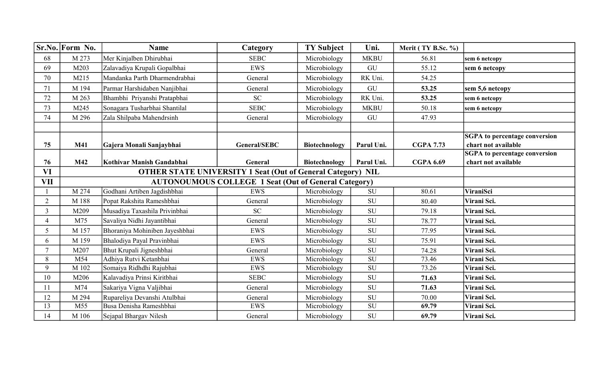|                | Sr.No. Form No. | <b>Name</b>                                                        | Category                                                    | <b>TY Subject</b>    | Uni.                     | Merit (TY B.Sc. %) |                                      |
|----------------|-----------------|--------------------------------------------------------------------|-------------------------------------------------------------|----------------------|--------------------------|--------------------|--------------------------------------|
| 68             | M 273           | Mer Kinjalben Dhirubhai                                            | <b>SEBC</b>                                                 | Microbiology         | <b>MKBU</b>              | 56.81              | sem 6 netcopy                        |
| 69             | M203            | Zalavadiya Krupali Gopalbhai                                       | <b>EWS</b>                                                  | Microbiology         | GU                       | 55.12              | sem 6 netcopy                        |
| 70             | M215            | Mandanka Parth Dharmendrabhai                                      | General                                                     | Microbiology         | RK Uni.                  | 54.25              |                                      |
| 71             | M 194           | Parmar Harshidaben Nanjibhai                                       | General                                                     | Microbiology         | GU                       | 53.25              | sem 5,6 netcopy                      |
| 72             | M 263           | Bhambhi Priyanshi Pratapbhai                                       | SC                                                          | Microbiology         | RK Uni.                  | 53.25              | sem 6 netcopy                        |
| 73             | M245            | Sonagara Tusharbhai Shantilal                                      | <b>SEBC</b>                                                 | Microbiology         | <b>MKBU</b>              | 50.18              | sem 6 netcopy                        |
| 74             | M 296           | Zala Shilpaba Mahendrsinh                                          | General                                                     | Microbiology         | GU                       | 47.93              |                                      |
|                |                 |                                                                    |                                                             |                      |                          |                    |                                      |
|                |                 |                                                                    |                                                             |                      |                          |                    | <b>SGPA</b> to percentage conversion |
| 75             | <b>M41</b>      | Gajera Monali Sanjaybhai                                           | <b>General/SEBC</b>                                         | <b>Biotechnology</b> | Parul Uni.               | <b>CGPA 7.73</b>   | chart not available                  |
|                |                 |                                                                    | General                                                     | Biotechnology        | Parul Uni.               |                    | <b>SGPA</b> to percentage conversion |
| 76             | <b>M42</b>      | Kothivar Manish Gandabhai                                          | <b>CGPA 6.69</b>                                            | chart not available  |                          |                    |                                      |
| VI             |                 | <b>OTHER STATE UNIVERSITY 1 Seat (Out of General Category) NIL</b> |                                                             |                      |                          |                    |                                      |
| <b>VII</b>     |                 |                                                                    | <b>AUTONOUMOUS COLLEGE 1 Seat (Out of General Category)</b> |                      |                          |                    |                                      |
|                | M 274           | Godhani Artiben Jagdishbhai                                        | EWS                                                         | Microbiology         | SU                       | 80.61              | ViraniSci                            |
| $\overline{2}$ | M 188           | Popat Rakshita Rameshbhai                                          | General                                                     | Microbiology         | <b>SU</b>                | 80.40              | Virani Sci.                          |
| 3              | M209            | Musadiya Taxashila Privinbhai                                      | <b>SC</b>                                                   | Microbiology         | SU                       | 79.18              | Virani Sci.                          |
| $\overline{4}$ | M75             | Savaliya Nidhi Jayantibhai                                         | General                                                     | Microbiology         | <b>SU</b>                | 78.77              | Virani Sci.                          |
| 5              | M 157           | Bhoraniya Mohiniben Jayeshbhai                                     | <b>EWS</b>                                                  | Microbiology         | SU                       | 77.95              | Virani Sci.                          |
| 6              | M 159           | Bhalodiya Payal Pravinbhai                                         | <b>EWS</b>                                                  | Microbiology         | ${\rm SU}$               | 75.91              | Virani Sci.                          |
| $\overline{7}$ | M207            | Bhut Krupali Jigneshbhai                                           | General                                                     | Microbiology         | ${\rm SU}$               | 74.28              | Virani Sci.                          |
| 8              | M54             | Adhiya Rutvi Ketanbhai                                             | <b>EWS</b>                                                  | Microbiology         | ${\bf SU}$               | 73.46              | Virani Sci.                          |
| 9              | M 102           | Somaiya Ridhdhi Rajubhai                                           | <b>EWS</b>                                                  | Microbiology         | ${\bf SU}$               | 73.26              | Virani Sci.                          |
| 10             | M206            | Kalavadiya Prinsi Kiritbhai                                        | <b>SEBC</b>                                                 | Microbiology         | ${\rm SU}$               | 71.63              | Virani Sci.                          |
| 11             | M74             | Sakariya Vigna Valjibhai                                           | General                                                     | Microbiology         | <b>SU</b>                | 71.63              | Virani Sci.                          |
| 12             | M 294           | Rupareliya Devanshi Atulbhai                                       | General                                                     | Microbiology         | ${\rm SU}$               | 70.00              | Virani Sci.                          |
| 13             | M55             | Busa Denisha Rameshbhai                                            | EWS                                                         | Microbiology         | $\overline{\mathrm{SU}}$ | 69.79              | Virani Sci.                          |
| 14             | M 106           | Sejapal Bhargav Nilesh                                             | General                                                     | Microbiology         | ${\rm SU}$               | 69.79              | Virani Sci.                          |